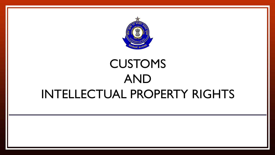

## CUSTOMS AND INTELLECTUAL PROPERTY RIGHTS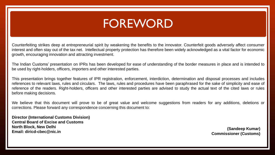### FOREWORD

Counterfeiting strikes deep at entrepreneurial spirit by weakening the benefits to the innovator. Counterfeit goods adversely affect consumer interest and often stay out of the tax net. Intellectual property protection has therefore been widely acknowledged as a vital factor for economic growth, encouraging innovation and attracting investment.

The Indian Customs' presentation on IPRs has been developed for ease of understanding of the border measures in place and is intended to be used by right-holders, officers, importers and other interested parties.

This presentation brings together features of IPR registration, enforcement, interdiction, determination and disposal processes and includes references to relevant laws, rules and circulars. The laws, rules and procedures have been paraphrased for the sake of simplicity and ease of reference of the readers. Right-holders, officers and other interested parties are advised to study the actual text of the cited laws or rules before making decisions.

We believe that this document will prove to be of great value and welcome suggestions from readers for any additions, deletions or corrections. Please forward any correspondence concerning this document to:

**Director (International Customs Division) Central Board of Excise and Customs North Block, New Delhi Email: diricd-cbec@nic.in**

**(Sandeep Kumar) Commissioner (Customs)**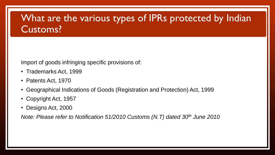### What are the various types of IPRs protected by Indian Customs?

Import of goods infringing specific provisions of:

- Trademarks Act, 1999
- Patents Act, 1970
- Geographical Indications of Goods (Registration and Protection) Act, 1999
- Copyright Act, 1957
- Designs Act, 2000

*Note: Please refer to Notification 51/2010 Customs (N.T) dated 30th June 2010*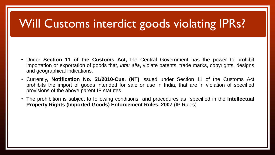## Will Customs interdict goods violating IPRs?

- Under **Section 11 of the Customs Act,** the Central Government has the power to prohibit importation or exportation of goods that, *inter alia*, violate patents, trade marks, copyrights, designs and geographical indications.
- Currently, **Notification No. 51/2010-Cus. (NT)** issued under Section 11 of the Customs Act prohibits the import of goods intended for sale or use in India, that are in violation of specified provisions of the above parent IP statutes.
- The prohibition is subject to following conditions and procedures as specified in the **Intellectual Property Rights (Imported Goods) Enforcement Rules, 2007** (IP Rules).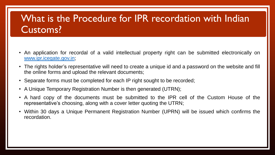### What is the Procedure for IPR recordation with Indian Customs?

- An application for recordal of a valid intellectual property right can be submitted electronically on [www.ipr.icegate.gov.in](http://www.ipr.icegate.gov.in/);
- The rights holder's representative will need to create a unique id and a password on the website and fill the online forms and upload the relevant documents;
- Separate forms must be completed for each IP right sought to be recorded;
- A Unique Temporary Registration Number is then generated (UTRN);
- A hard copy of the documents must be submitted to the IPR cell of the Custom House of the representative's choosing, along with a cover letter quoting the UTRN;
- Within 30 days a Unique Permanent Registration Number (UPRN) will be issued which confirms the recordation.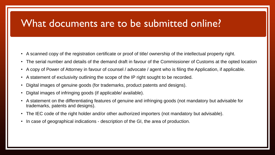### What documents are to be submitted online?

- A scanned copy of the registration certificate or proof of title/ ownership of the intellectual property right.
- The serial number and details of the demand draft in favour of the Commissioner of Customs at the opted location
- A copy of Power of Attorney in favour of counsel / advocate / agent who is filing the Application, if applicable.
- A statement of exclusivity outlining the scope of the IP right sought to be recorded.
- Digital images of genuine goods (for trademarks, product patents and designs).
- Digital images of infringing goods (if applicable/ available).
- A statement on the differentiating features of genuine and infringing goods (not mandatory but advisable for trademarks, patents and designs).
- The IEC code of the right holder and/or other authorized importers (not mandatory but advisable).
- In case of geographical indications description of the GI, the area of production.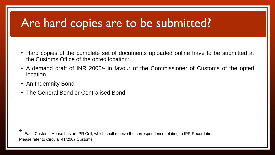### Are hard copies are to be submitted?

- Hard copies of the complete set of documents uploaded online have to be submitted at the Customs Office of the opted location\*.
- A demand draft of INR 2000/- in favour of the Commissioner of Customs of the opted location.
- An Indemnity Bond
- The General Bond or Centralised Bond.

\* Each Customs House has an IPR Cell, which shall receive the correspondence relating to IPR Recordation. Please refer to Circular 41/2007 Customs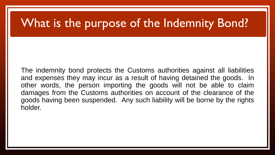### What is the purpose of the Indemnity Bond?

The indemnity bond protects the Customs authorities against all liabilities and expenses they may incur as a result of having detained the goods. In other words, the person importing the goods will not be able to claim damages from the Customs authorities on account of the clearance of the goods having been suspended. Any such liability will be borne by the rights holder.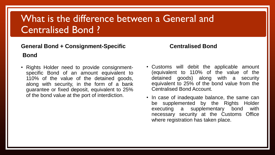### What is the difference between a General and Centralised Bond ?

### General Bond + Consignment-Specific **Centralised** Bond

- **Bond**
- Rights Holder need to provide consignmentspecific Bond of an amount equivalent to 110% of the value of the detained goods, along with security, in the form of a bank guarantee or fixed deposit, equivalent to 25% of the bond value at the port of interdiction.
- Customs will debit the applicable amount (equivalent to 110% of the value of the detained goods) along with a security equivalent to 25% of the bond value from the Centralised Bond Account.
- In case of inadequate balance, the same can be supplemented by the Rights Holder executing a supplementary bond with necessary security at the Customs Office where registration has taken place.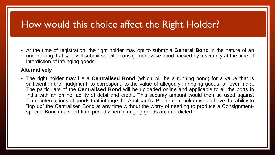### How would this choice affect the Right Holder?

• At the time of registration, the right holder may opt to submit a **General Bond** in the nature of an undertaking that s/he will submit specific consignment-wise bond backed by a security at the time of interdiction of infringing goods.

### **Alternatively,**

• The right holder may file a **Centralised Bond** (which will be a running bond) for a value that is sufficient in their judgment, to correspond to the value of allegedly infringing goods, all over India. The particulars of the **Centralised Bond** will be uploaded online and applicable to all the ports in India with an online facility of debit and credit. This security amount would then be used against future interdictions of goods that infringe the Applicant's IP. The right holder would have the ability to "top up" the Centralised Bond at any time without the worry of needing to produce a Consignmentspecific Bond in a short time period when infringing goods are interdicted.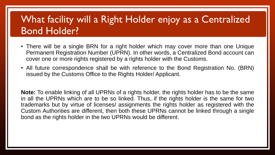### What facility will a Right Holder enjoy as a Centralized Bond Holder?

- There will be a single BRN for a right holder which may cover more than one Unique Permanent Registration Number (UPRN). In other words, a Centralized Bond account can cover one or more rights registered by a rights holder with the Customs.
- All future correspondence shall be with reference to the Bond Registration No. (BRN) issued by the Customs Office to the Rights Holder/ Applicant.

**Note:** To enable linking of all UPRNs of a rights holder, the rights holder has to be the same in all the UPRNs which are to be so linked. Thus, if the rights holder is the same for two trademarks but by virtue of licenses/ assignments the rights holder as registered with the Custom Authorities are different, then both these UPRNs cannot be linked through a single bond as the rights holder in the two UPRNs would be different.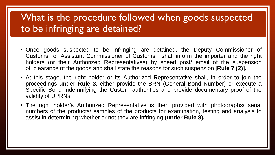### What is the procedure followed when goods suspected to be infringing are detained?

- Once goods suspected to be infringing are detained, the Deputy Commissioner of Customs or Assistant Commissioner of Customs, shall inform the importer and the right holders (or their Authorized Representatives) by speed post/ email of the suspension of clearance of the goods and shall state the reasons for such suspension [**Rule 7 (2)].**
- At this stage, the right holder or its Authorized Representative shall, in order to join the proceedings **under Rule 3**, either provide the BRN (General Bond Number) or execute a Specific Bond indemnifying the Custom authorities and provide documentary proof of the validity of UPRNs.
- The right holder's Authorized Representative is then provided with photographs/ serial numbers of the products/ samples of the products for examination, testing and analysis to assist in determining whether or not they are infringing **(under Rule 8).**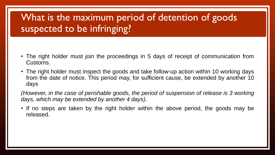### What is the maximum period of detention of goods suspected to be infringing?

- The right holder must join the proceedings in 5 days of receipt of communication from Customs.
- The right holder must inspect the goods and take follow-up action within 10 working days from the date of notice. This period may, for sufficient cause, be extended by another 10 days

*(However, in the case of perishable goods, the period of suspension of release is 3 working days, which may be extended by another 4 days).*

• If no steps are taken by the right holder within the above period, the goods may be released.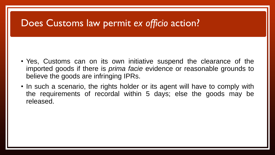### Does Customs law permit *ex officio* action?

- Yes, Customs can on its own initiative suspend the clearance of the imported goods if there is *prima facie* evidence or reasonable grounds to believe the goods are infringing IPRs.
- In such a scenario, the rights holder or its agent will have to comply with the requirements of recordal within 5 days; else the goods may be released.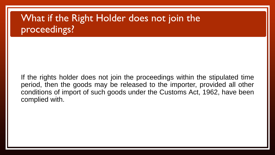### What if the Right Holder does not join the proceedings?

If the rights holder does not join the proceedings within the stipulated time period, then the goods may be released to the importer, provided all other conditions of import of such goods under the Customs Act, 1962, have been complied with.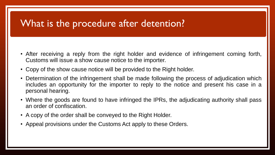### What is the procedure after detention?

- After receiving a reply from the right holder and evidence of infringement coming forth, Customs will issue a show cause notice to the importer.
- Copy of the show cause notice will be provided to the Right holder.
- Determination of the infringement shall be made following the process of adjudication which includes an opportunity for the importer to reply to the notice and present his case in a personal hearing.
- Where the goods are found to have infringed the IPRs, the adjudicating authority shall pass an order of confiscation.
- A copy of the order shall be conveyed to the Right Holder.
- Appeal provisions under the Customs Act apply to these Orders.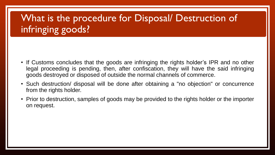### What is the procedure for Disposal/ Destruction of infringing goods?

- If Customs concludes that the goods are infringing the rights holder's IPR and no other legal proceeding is pending, then, after confiscation, they will have the said infringing goods destroyed or disposed of outside the normal channels of commerce.
- Such destruction/ disposal will be done after obtaining a "no objection" or concurrence from the rights holder.
- Prior to destruction, samples of goods may be provided to the rights holder or the importer on request.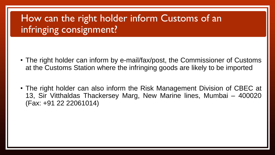### How can the right holder inform Customs of an infringing consignment?

- The right holder can inform by e-mail/fax/post, the Commissioner of Customs at the Customs Station where the infringing goods are likely to be imported
- The right holder can also inform the Risk Management Division of CBEC at 13, Sir Vitthaldas Thackersey Marg, New Marine lines, Mumbai – 400020 (Fax: +91 22 22061014)